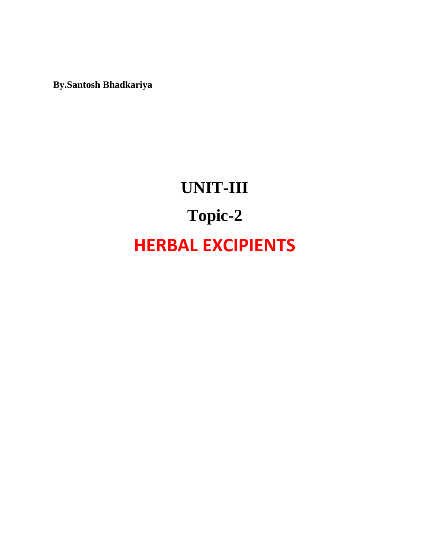**By.Santosh Bhadkariya**

# **UNIT-III Topic-2 HERBAL EXCIPIENTS**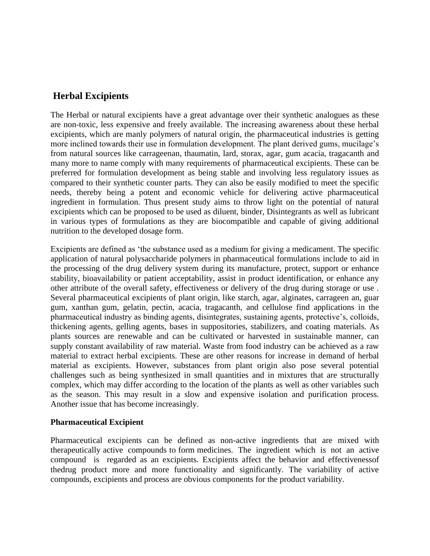# **Herbal Excipients**

The Herbal or natural excipients have a great advantage over their synthetic analogues as these are non-toxic, less expensive and freely available. The increasing awareness about these herbal excipients, which are manly polymers of natural origin, the pharmaceutical industries is getting more inclined towards their use in formulation development. The plant derived gums, mucilage's from natural sources like carrageenan, thaumatin, lard, storax, agar, gum acacia, tragacanth and many more to name comply with many requirements of pharmaceutical excipients. These can be preferred for formulation development as being stable and involving less regulatory issues as compared to their synthetic counter parts. They can also be easily modified to meet the specific needs, thereby being a potent and economic vehicle for delivering active pharmaceutical ingredient in formulation. Thus present study aims to throw light on the potential of natural excipients which can be proposed to be used as diluent, binder, Disintegrants as well as lubricant in various types of formulations as they are biocompatible and capable of giving additional nutrition to the developed dosage form.

Excipients are defined as 'the substance used as a medium for giving a medicament. The specific application of natural polysaccharide polymers in pharmaceutical formulations include to aid in the processing of the drug delivery system during its manufacture, protect, support or enhance stability, bioavailability or patient acceptability, assist in product identification, or enhance any other attribute of the overall safety, effectiveness or delivery of the drug during storage or use . Several pharmaceutical excipients of plant origin, like starch, agar, alginates, carrageen an, guar gum, xanthan gum, gelatin, pectin, acacia, tragacanth, and cellulose find applications in the pharmaceutical industry as binding agents, disintegrates, sustaining agents, protective's, colloids, thickening agents, gelling agents, bases in suppositories, stabilizers, and coating materials. As plants sources are renewable and can be cultivated or harvested in sustainable manner, can supply constant availability of raw material. Waste from food industry can be achieved as a raw material to extract herbal excipients. These are other reasons for increase in demand of herbal material as excipients. However, substances from plant origin also pose several potential challenges such as being synthesized in small quantities and in mixtures that are structurally complex, which may differ according to the location of the plants as well as other variables such as the season. This may result in a slow and expensive isolation and purification process. Another issue that has become increasingly.

#### **Pharmaceutical Excipient**

Pharmaceutical excipients can be defined as non-active ingredients that are mixed with therapeutically active compounds to form medicines. The ingredient which is not an active compound is regarded as an excipients. Excipients affect the behavior and effectivenessof thedrug product more and more functionality and significantly. The variability of active compounds, excipients and process are obvious components for the product variability.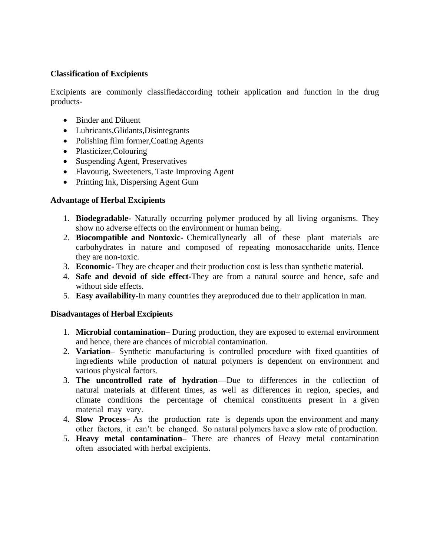#### **Classification of Excipients**

Excipients are commonly classifiedaccording totheir application and function in the drug products-

- Binder and Diluent
- Lubricants,Glidants,Disintegrants
- Polishing film former, Coating Agents
- Plasticizer, Colouring
- Suspending Agent, Preservatives
- Flavourig, Sweeteners, Taste Improving Agent
- Printing Ink, Dispersing Agent Gum

#### **Advantage of Herbal Excipients**

- 1. **Biodegradable-** Naturally occurring polymer produced by all living organisms. They show no adverse effects on the environment or human being.
- 2. **Biocompatible and Nontoxic-** Chemicallynearly all of these plant materials are carbohydrates in nature and composed of repeating monosaccharide units. Hence they are non-toxic.
- 3. **Economic-** They are cheaper and their production cost is less than synthetic material.
- 4. **Safe and devoid of side effect-**They are from a natural source and hence, safe and without side effects.
- 5. **Easy availability-**In many countries they areproduced due to their application in man.

#### **Disadvantages of Herbal Excipients**

- 1. **Microbial contamination–** During production, they are exposed to external environment and hence, there are chances of microbial contamination.
- 2. **Variation–** Synthetic manufacturing is controlled procedure with fixed quantities of ingredients while production of natural polymers is dependent on environment and various physical factors.
- 3. **The uncontrolled rate of hydration—**Due to differences in the collection of natural materials at different times, as well as differences in region, species, and climate conditions the percentage of chemical constituents present in a given material may vary.
- 4. **Slow Process–** As the production rate is depends upon the environment and many other factors, it can't be changed. So natural polymers have a slow rate of production.
- 5. **Heavy metal contamination–** There are chances of Heavy metal contamination often associated with herbal excipients.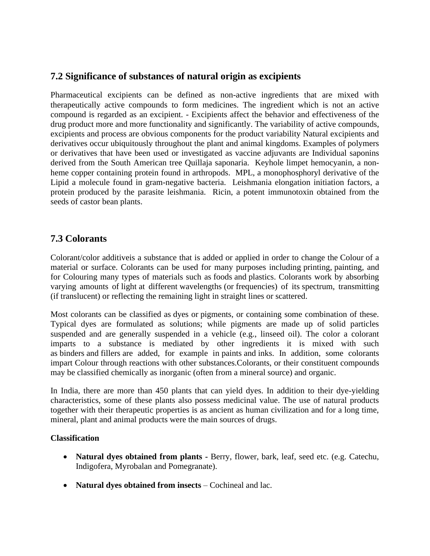# **7.2 Significance of substances of natural origin as excipients**

Pharmaceutical excipients can be defined as non-active ingredients that are mixed with therapeutically active compounds to form medicines. The ingredient which is not an active compound is regarded as an excipient. - Excipients affect the behavior and effectiveness of the drug product more and more functionality and significantly. The variability of active compounds, excipients and process are obvious components for the product variability Natural excipients and derivatives occur ubiquitously throughout the plant and animal kingdoms. Examples of polymers or derivatives that have been used or investigated as vaccine adjuvants are Individual saponins derived from the South American tree Quillaja saponaria. Keyhole limpet hemocyanin, a nonheme copper containing protein found in arthropods. MPL, a monophosphoryl derivative of the Lipid a molecule found in gram-negative bacteria. Leishmania elongation initiation factors, a protein produced by the parasite leishmania. Ricin, a potent immunotoxin obtained from the seeds of castor bean plants.

## **7.3 Colorants**

Colorant/color additiveis a substance that is added or applied in order to change the Colour of a material or surface. Colorants can be used for many purposes including printing, painting, and for Colouring many types of materials such as foods and plastics. Colorants work by absorbing varying amounts of light at different wavelengths (or frequencies) of its spectrum, transmitting (if translucent) or reflecting the remaining light in straight lines or scattered.

Most colorants can be classified as dyes or pigments, or containing some combination of these. Typical dyes are formulated as solutions; while pigments are made up of solid particles suspended and are generally suspended in a vehicle (e.g., linseed oil). The color a colorant imparts to a substance is mediated by other ingredients it is mixed with such as binders and fillers are added, for example in paints and inks. In addition, some colorants impart Colour through reactions with other substances.Colorants, or their constituent compounds may be classified chemically as inorganic (often from a mineral source) and organic.

In India, there are more than 450 plants that can yield dyes. In addition to their dye-yielding characteristics, some of these plants also possess medicinal value. The use of natural products together with their therapeutic properties is as ancient as human civilization and for a long time, mineral, plant and animal products were the main sources of drugs.

## **Classification**

- **Natural dyes obtained from plants -** Berry, flower, bark, leaf, seed etc. (e.g. Catechu, Indigofera, Myrobalan and Pomegranate).
- **Natural dyes obtained from insects** Cochineal and lac.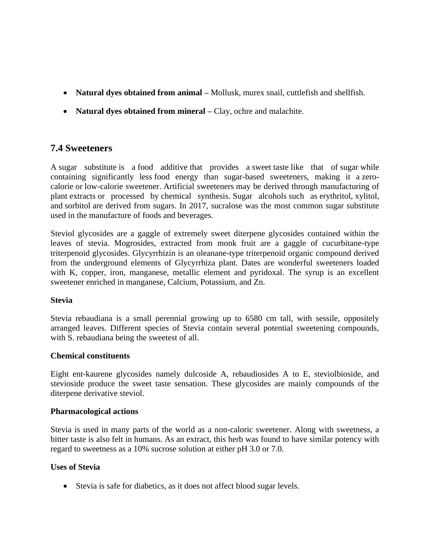- **Natural dyes obtained from animal –** Mollusk, murex snail, cuttlefish and shellfish.
- **Natural dyes obtained from mineral** Clay, ochre and malachite.

## **7.4 Sweeteners**

A sugar substitute is a food additive that provides a sweet taste like that of sugar while containing significantly less food energy than sugar-based sweeteners, making it a zerocalorie or low-calorie sweetener. Artificial sweeteners may be derived through manufacturing of plant extracts or processed by chemical synthesis. Sugar alcohols such as erythritol, xylitol, and sorbitol are derived from sugars. In 2017, sucralose was the most common sugar substitute used in the manufacture of foods and beverages.

Steviol glycosides are a gaggle of extremely sweet diterpene glycosides contained within the leaves of stevia. Mogrosides, extracted from monk fruit are a gaggle of cucurbitane-type triterpenoid glycosides. Glycyrrhizin is an oleanane-type triterpenoid organic compound derived from the underground elements of Glycyrrhiza plant. Dates are wonderful sweeteners loaded with K, copper, iron, manganese, metallic element and pyridoxal. The syrup is an excellent sweetener enriched in manganese, Calcium, Potassium, and Zn.

## **Stevia**

Stevia rebaudiana is a small perennial growing up to 6580 cm tall, with sessile, oppositely arranged leaves. Different species of Stevia contain several potential sweetening compounds, with S. rebaudiana being the sweetest of all.

#### **Chemical constituents**

Eight ent-kaurene glycosides namely dulcoside A, rebaudiosides A to E, steviolbioside, and stevioside produce the sweet taste sensation. These glycosides are mainly compounds of the diterpene derivative steviol.

#### **Pharmacological actions**

Stevia is used in many parts of the world as a non-caloric sweetener. Along with sweetness, a bitter taste is also felt in humans. As an extract, this herb was found to have similar potency with regard to sweetness as a 10% sucrose solution at either pH 3.0 or 7.0.

## **Uses of Stevia**

• Stevia is safe for diabetics, as it does not affect blood sugar levels.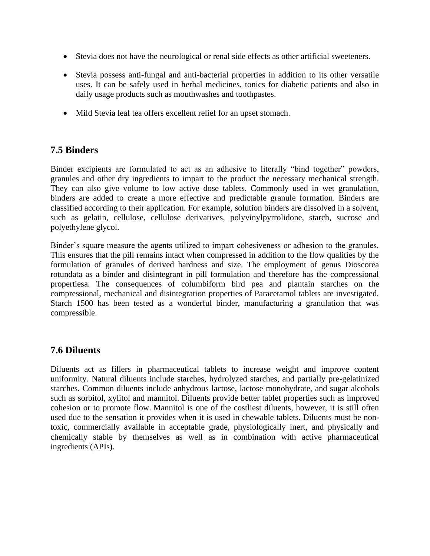- Stevia does not have the neurological or renal side effects as other artificial sweeteners.
- Stevia possess anti-fungal and anti-bacterial properties in addition to its other versatile uses. It can be safely used in herbal medicines, tonics for diabetic patients and also in daily usage products such as mouthwashes and toothpastes.
- Mild Stevia leaf tea offers excellent relief for an upset stomach.

## **7.5 Binders**

Binder excipients are formulated to act as an adhesive to literally "bind together" powders, granules and other dry ingredients to impart to the product the necessary mechanical strength. They can also give volume to low active dose tablets. Commonly used in wet granulation, binders are added to create a more effective and predictable granule formation. Binders are classified according to their application. For example, solution binders are dissolved in a solvent, such as gelatin, cellulose, cellulose derivatives, polyvinylpyrrolidone, starch, sucrose and polyethylene glycol.

Binder's square measure the agents utilized to impart cohesiveness or adhesion to the granules. This ensures that the pill remains intact when compressed in addition to the flow qualities by the formulation of granules of derived hardness and size. The employment of genus Dioscorea rotundata as a binder and disintegrant in pill formulation and therefore has the compressional propertiesa. The consequences of columbiform bird pea and plantain starches on the compressional, mechanical and disintegration properties of Paracetamol tablets are investigated. Starch 1500 has been tested as a wonderful binder, manufacturing a granulation that was compressible.

## **7.6 Diluents**

Diluents act as fillers in pharmaceutical tablets to increase weight and improve content uniformity. Natural diluents include starches, hydrolyzed starches, and partially pre-gelatinized starches. Common diluents include anhydrous lactose, lactose monohydrate, and sugar alcohols such as sorbitol, xylitol and mannitol. Diluents provide better tablet properties such as improved cohesion or to promote flow. Mannitol is one of the costliest diluents, however, it is still often used due to the sensation it provides when it is used in chewable tablets. Diluents must be nontoxic, commercially available in acceptable grade, physiologically inert, and physically and chemically stable by themselves as well as in combination with active pharmaceutical ingredients (APIs).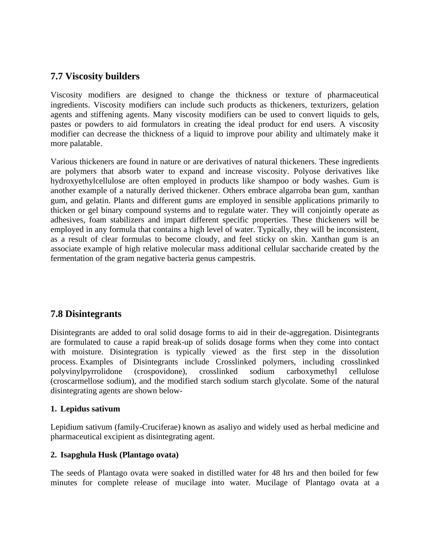## **7.7 Viscosity builders**

Viscosity modifiers are designed to change the thickness or texture of pharmaceutical ingredients. Viscosity modifiers can include such products as thickeners, texturizers, gelation agents and stiffening agents. Many viscosity modifiers can be used to convert liquids to gels, pastes or powders to aid formulators in creating the ideal product for end users. A viscosity modifier can decrease the thickness of a liquid to improve pour ability and ultimately make it more palatable.

Various thickeners are found in nature or are derivatives of natural thickeners. These ingredients are polymers that absorb water to expand and increase viscosity. Polyose derivatives like hydroxyethylcellulose are often employed in products like shampoo or body washes. Gum is another example of a naturally derived thickener. Others embrace algarroba bean gum, xanthan gum, and gelatin. Plants and different gums are employed in sensible applications primarily to thicken or gel binary compound systems and to regulate water. They will conjointly operate as adhesives, foam stabilizers and impart different specific properties. These thickeners will be employed in any formula that contains a high level of water. Typically, they will be inconsistent, as a result of clear formulas to become cloudy, and feel sticky on skin. Xanthan gum is an associate example of high relative molecular mass additional cellular saccharide created by the fermentation of the gram negative bacteria genus campestris.

## **7.8 Disintegrants**

Disintegrants are added to oral solid dosage forms to aid in their de-aggregation. Disintegrants are formulated to cause a rapid break-up of solids dosage forms when they come into contact with moisture. Disintegration is typically viewed as the first step in the dissolution process. Examples of Disintegrants include Crosslinked polymers, including crosslinked polyvinylpyrrolidone (crospovidone), crosslinked sodium carboxymethyl cellulose (croscarmellose sodium), and the modified starch sodium starch glycolate. Some of the natural disintegrating agents are shown below-

#### **1. Lepidus sativum**

Lepidium sativum (family-Cruciferae) known as asaliyo and widely used as herbal medicine and pharmaceutical excipient as disintegrating agent.

#### **2. Isapghula Husk (Plantago ovata)**

The seeds of Plantago ovata were soaked in distilled water for 48 hrs and then boiled for few minutes for complete release of mucilage into water. Mucilage of Plantago ovata at a